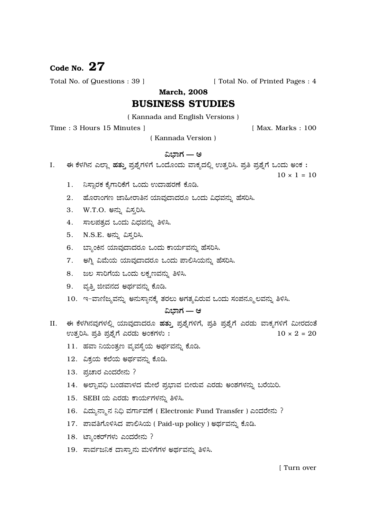# Code No.  $27$

Total No. of Questions : 39 ]

[ Total No. of Printed Pages : 4

**March, 2008** 

## **BUSINESS STUDIES**

(Kannada and English Versions)

Time: 3 Hours 15 Minutes 1

[ Max. Marks: 100

(Kannada Version)

## ವಿಭಾಗ — ಅ

ಈ ಕೆಳಗಿನ ಎಲ್ಲಾ ಹತ್ತು ಪ್ರಶ್ನೆಗಳಿಗೆ ಒಂದೊಂದು ವಾಕ್ಯದಲ್ಲಿ ಉತ್ತರಿಸಿ. ಪ್ರತಿ ಪ್ರಶ್ನೆಗೆ ಒಂದು ಅಂಕ: I.

 $10 \times 1 = 10$ 

- 1. ನಿಸ್ತಾರಕ ಕೈಗಾರಿಕೆಗೆ ಒಂದು ಉದಾಹರಣೆ ಕೊಡಿ.
- 2. ಹೊರಾಂಗಣ ಜಾಹೀರಾತಿನ ಯಾವುದಾದರೂ ಒಂದು ವಿಧವನ್ನು ಹೆಸರಿಸಿ.
- 3. W.T.O. ಅನ್ನು ವಿಸ್ತರಿಸಿ.
- 4. ಸಾಲಪತ್ರದ ಒಂದು ವಿಧವನ್ನು ತಿಳಿಸಿ.
- 5. N.S.E. ಅನ್ನು ವಿಸ್ತರಿಸಿ.
- 6. ಬ್ಯಾಂಕಿನ ಯಾವುದಾದರೂ ಒಂದು ಕಾರ್ಯವನ್ನು ಹೆಸರಿಸಿ.
- 7. ಆಗ್ತಿ ವಿಮೆಯ ಯಾವುದಾದರೂ ಒಂದು ಪಾಲಿಸಿಯನ್ನು ಹೆಸರಿಸಿ.
- 8. ಜಲ ಸಾರಿಗೆಯ ಒಂದು ಲಕ್ಷಣವನ್ನು ತಿಳಿಸಿ.
- 9. ವೃತ್ತಿ ಜೀವನದ ಅರ್ಥವನ್ನು ಕೊಡಿ.
- 10. ಇ-ವಾಣಿಜ್ಯವನ್ನು ಅನುಸ್ಥಾನಕ್ಕೆ ತರಲು ಅಗತ್ಯವಿರುವ ಒಂದು ಸಂಪನ್ಮೂಲವನ್ನು ತಿಳಿಸಿ.

## ವಿಬಾಗ — ಆ

- II. ಈ ಕೆಳಗಿನವುಗಳಲ್ಲಿ ಯಾವುದಾದರೂ ಹತ್ತು ಪ್ರಶ್ನೆಗಳಿಗೆ, ಪ್ರತಿ ಪ್ರಶ್ನೆಗೆ ಎರಡು ವಾಕ್ಯಗಳಿಗೆ ಮೀರದಂತೆ ಉತ್ತರಿಸಿ. ಪ್ರತಿ ಪ್ರಶ್ನೆಗೆ ಎರಡು ಅಂಕಗಳು:  $10 \times 2 = 20$ 
	- 11. ಹವಾ ನಿಯಂತ್ರಣ ವ್ಯವಸ್ಥೆಯ ಅರ್ಥವನ್ನು ಕೊಡಿ.
	- 12. ವಿಕ್ರಯ ಕಲೆಯ ಅರ್ಥವನ್ನು ಕೊಡಿ.
	- 13. ಪ್ರಚಾರ ಎಂದರೇನು ?
	- 14. ಅಲ್ಬಾವಧಿ ಬಂಡವಾಳದ ಮೇಲೆ ಪ್ರಭಾವ ಬೀರುವ ಎರಡು ಅಂಶಗಳನ್ನು ಬರೆಯಿರಿ.
	- 15. SEBI ಯ ಎರಡು ಕಾರ್ಯಗಳನ್ನು ತಿಳಿಸಿ.
	- 16. ವಿದ್ಯುನ್ಮಾನ ನಿಧಿ ವರ್ಗಾವಣೆ (Electronic Fund Transfer) ಎಂದರೇನು ?
	- 17. ಪಾವತಿಗೊಳಿಸಿದ ಪಾಲಿಸಿಯ ( Paid-up policy ) ಅರ್ಥವನ್ನು ಕೊಡಿ.
	- 18. ಟ್ಯಾಂಕರ್ಗಳು ಎಂದರೇನು ?
	- 19. ಸಾರ್ವಜನಿಕ ದಾಸ್ತಾನು ಮಳಿಗೆಗಳ ಅರ್ಥವನ್ನು ತಿಳಿಸಿ.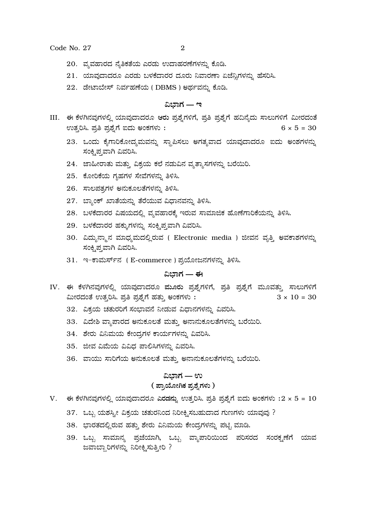Code No. 27

- 20. ವ್ಯವಹಾರದ ನೈತಿಕತೆಯ ಎರಡು ಉದಾಹರಣೆಗಳನ್ನು ಕೊಡಿ.
- 21. ಯಾವುದಾದರೂ ಎರಡು ಬಳಕೆದಾರರ ದೂರು ನಿವಾರಣಾ ಏಜೆನ್ನಿಗಳನ್ನು ಹೆಸರಿಸಿ.
- 22. ಡೇಟಾಬೇಸ್ ನಿರ್ವಹಣೆಯ (DBMS) ಅರ್ಥವನ್ನು ಕೊಡಿ.

## ವಿಬಾಗ — ಇ

- III. ಈ ಕೆಳಗಿನವುಗಳಲ್ಲಿ ಯಾವುದಾದರೂ ಆರು ಪ್ರಶ್ನೆಗಳಿಗೆ, ಪ್ರತಿ ಪ್ರಶ್ನೆಗೆ ಹದಿನ್ಯೆದು ಸಾಲುಗಳಿಗೆ ಮೀರದಂತೆ ಉತ್ತರಿಸಿ. ಪ್ರತಿ ಪ್ರಶ್ನೆಗೆ ಐದು ಅಂಕಗಳು:  $6 \times 5 = 30$ 
	- 23. ಒಂದು ಕೈಗಾರಿಕೋದ್ಯಮವನ್ನು ಸ್ಥಾಪಿಸಲು ಅಗತ್ಯವಾದ ಯಾವುದಾದರೂ ಐದು ಅಂಶಗಳನ್ನು ಸಂಕೃಪ್ತವಾಗಿ ವಿವರಿಸಿ.
	- 24. ಜಾಹೀರಾತು ಮತ್ತು ವಿಕ್ರಯ ಕಲೆ ನಡುವಿನ ವ್ಯತ್ಯಾಸಗಳನ್ನು ಬರೆಯಿರಿ.
	- 25. ಕೋರಿಕೆಯ ಗೃಹಗಳ ಸೇವೆಗಳನ್ನು ತಿಳಿಸಿ.
	- 26. ಸಾಲಪತ್ರಗಳ ಅನುಕೂಲತೆಗಳನ್ನು ತಿಳಿಸಿ.
	- 27. ಬ್ಯಾಂಕ್ ಖಾತೆಯನ್ನು ತೆರೆಯುವ ವಿಧಾನವನ್ನು ತಿಳಿಸಿ.
	- 28. ಬಳಕೆದಾರರ ವಿಷಯದಲ್ಲಿ ವ್ಯವಹಾರಕ್ಕೆ ಇರುವ ಸಾಮಾಜಿಕ ಹೊಣೆಗಾರಿಕೆಯನ್ನು ತಿಳಿಸಿ.
	- 29. ಬಳಕೆದಾರರ ಹಕ್ಕುಗಳನ್ನು ಸಂಕ್ಷಿಪ್ತವಾಗಿ ವಿವರಿಸಿ.
	- 30. ವಿದ್ಯುನ್ಮಾನ ಮಾಧ್ಯಮದಲ್ಲಿರುವ ( Electronic media ) ಜೀವನ ವೃತ್ತಿ ಅವಕಾಶಗಳನ್ನು ಸಂಕೃಪ್ತವಾಗಿ ವಿವರಿಸಿ.
	- 31. ಇ-ಕಾಮರ್ಸ್**ನ** (E-commerce) ಪ್ರಯೋಜನಗಳನ್ನು ತಿಳಿಸಿ.

## ವಿಭಾಗ — ಈ

- IV. ಈ ಕೆಳಗಿನವುಗಳಲ್ಲಿ ಯಾವುದಾದರೂ ಮೂರು ಪ್ರಶ್ನೆಗಳಿಗೆ, ಪ್ರತಿ ಪ್ರಶ್ನೆಗೆ ಮೂವತ್ತು ಸಾಲುಗಳಿಗೆ ಮೀರದಂತೆ ಉತ್ತರಿಸಿ. ಪ್ರತಿ ಪ್ರಶ್ನೆಗೆ ಹತ್ತು ಅಂಕಗಳು:  $3 \times 10 = 30$ 
	- 32. ವಿಕ್ರಯ ಚತುರರಿಗೆ ಸಂಭಾವನೆ ನೀಡುವ ವಿಧಾನಗಳನ್ನು ವಿವರಿಸಿ.
	- 33. ವಿದೇಶಿ ವ್ಯಾಪಾರದ ಅನುಕೂಲತೆ ಮತ್ತು ಅನಾನುಕೂಲತೆಗಳನ್ನು ಬರೆಯಿರಿ.
	- 34. ಶೇರು ವಿನಿಮಯ ಕೇಂದ್ರಗಳ ಕಾರ್ಯಗಳನ್ನು ವಿವರಿಸಿ.
	- 35. ಜೀವ ವಿಮೆಯ ವಿವಿಧ ಪಾಲಿಸಿಗಳನ್ನು ವಿವರಿಸಿ.
	- 36. ವಾಯು ಸಾರಿಗೆಯ ಅನುಕೂಲತೆ ಮತ್ತು ಅನಾನುಕೂಲತೆಗಳನ್ನು ಬರೆಯಿರಿ.

#### ವಿಬಾಗ — ಉ

### ( ಪ್ರಾಯೋಗಿಕ ಪ್ರಶೈಗಳು )

- $V.$  ಈ ಕೆಳಗಿನವುಗಳಲ್ಲಿ ಯಾವುದಾದರೂ ಎರಡನ್ನು ಉತ್ತರಿಸಿ. ಪ್ರತಿ ಪ್ರಶ್ನೆಗೆ ಐದು ಅಂಕಗಳು : $2 \times 5 = 10$ 
	- 37. ಒಬ್ಬ ಯಶಸ್ವೀ ವಿಕ್ರಯ ಚತುರನಿಂದ ನಿರೀಕ್ಷಿಸಬಹುದಾದ ಗುಣಗಳು ಯಾವುವು ?
	- 38. ಭಾರತದಲ್ಲಿರುವ ಹತ್ತು ಶೇರು ವಿನಿಮಯ ಕೇಂದ್ರಗಳನ್ನು ಪಟ್ಟಿ ಮಾಡಿ.
	- 39. ಒಬ್ಬ ಸಾಮಾನ್ಯ ಪ್ರಜೆಯಾಗಿ, ಒಬ್ಬ ವ್ಯಾಪಾರಿಯಿಂದ ಪರಿಸರದ ಸಂರಕ್ಷಣೆಗೆ ಯಾವ ಜವಾಬ್ದಾರಿಗಳನ್ನು ನಿರೀಕ್ಷಿಸುತ್ತೀರಿ ?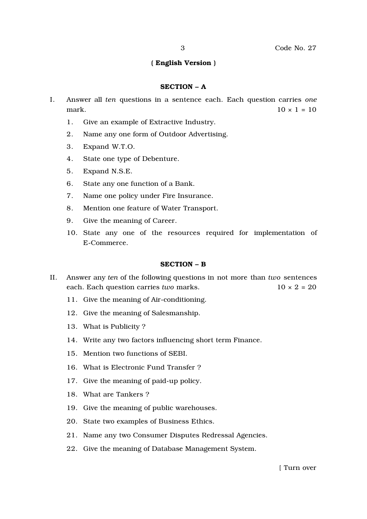## ( English Version )

#### SECTION – A

- I. Answer all *ten* questions in a sentence each. Each question carries *one* mark.  $10 \times 1 = 10$ 
	- 1. Give an example of Extractive Industry.
	- 2. Name any one form of Outdoor Advertising.
	- 3. Expand W.T.O.
	- 4. State one type of Debenture.
	- 5. Expand N.S.E.
	- 6. State any one function of a Bank.
	- 7. Name one policy under Fire Insurance.
	- 8. Mention one feature of Water Transport.
	- 9. Give the meaning of Career.
	- 10. State any one of the resources required for implementation of E-Commerce.

#### SECTION – B

- II. Answer any *ten* of the following questions in not more than *two* sentences each. Each question carries *two* marks.  $10 \times 2 = 20$ 
	- 11. Give the meaning of Air-conditioning.
	- 12. Give the meaning of Salesmanship.
	- 13. What is Publicity ?
	- 14. Write any two factors influencing short term Finance.
	- 15. Mention two functions of SEBI.
	- 16. What is Electronic Fund Transfer ?
	- 17. Give the meaning of paid-up policy.
	- 18. What are Tankers ?
	- 19. Give the meaning of public warehouses.
	- 20. State two examples of Business Ethics.
	- 21. Name any two Consumer Disputes Redressal Agencies.
	- 22. Give the meaning of Database Management System.